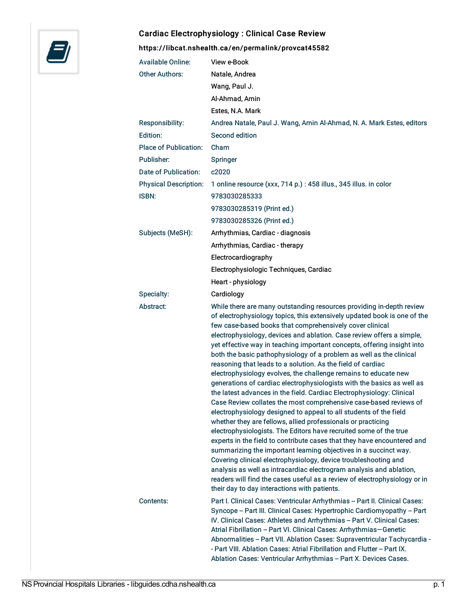

## Cardiac Electrophysiology : Clinical Case Review

<https://libcat.nshealth.ca/en/permalink/provcat45582>

| <b>Available Online:</b>     | View e-Book                                                                                                                                                                                                                                                                                                                                                                                                                                                                                                                                                                                                                                                                                                                                                                                                                                                                                                                                                                                                                                                                                                                                                                                                                                                                                                                                               |
|------------------------------|-----------------------------------------------------------------------------------------------------------------------------------------------------------------------------------------------------------------------------------------------------------------------------------------------------------------------------------------------------------------------------------------------------------------------------------------------------------------------------------------------------------------------------------------------------------------------------------------------------------------------------------------------------------------------------------------------------------------------------------------------------------------------------------------------------------------------------------------------------------------------------------------------------------------------------------------------------------------------------------------------------------------------------------------------------------------------------------------------------------------------------------------------------------------------------------------------------------------------------------------------------------------------------------------------------------------------------------------------------------|
| <b>Other Authors:</b>        | Natale, Andrea                                                                                                                                                                                                                                                                                                                                                                                                                                                                                                                                                                                                                                                                                                                                                                                                                                                                                                                                                                                                                                                                                                                                                                                                                                                                                                                                            |
|                              | Wang, Paul J.                                                                                                                                                                                                                                                                                                                                                                                                                                                                                                                                                                                                                                                                                                                                                                                                                                                                                                                                                                                                                                                                                                                                                                                                                                                                                                                                             |
|                              | Al-Ahmad, Amin                                                                                                                                                                                                                                                                                                                                                                                                                                                                                                                                                                                                                                                                                                                                                                                                                                                                                                                                                                                                                                                                                                                                                                                                                                                                                                                                            |
|                              | Estes, N.A. Mark                                                                                                                                                                                                                                                                                                                                                                                                                                                                                                                                                                                                                                                                                                                                                                                                                                                                                                                                                                                                                                                                                                                                                                                                                                                                                                                                          |
| Responsibility:              | Andrea Natale, Paul J. Wang, Amin Al-Ahmad, N. A. Mark Estes, editors                                                                                                                                                                                                                                                                                                                                                                                                                                                                                                                                                                                                                                                                                                                                                                                                                                                                                                                                                                                                                                                                                                                                                                                                                                                                                     |
| Edition:                     | Second edition                                                                                                                                                                                                                                                                                                                                                                                                                                                                                                                                                                                                                                                                                                                                                                                                                                                                                                                                                                                                                                                                                                                                                                                                                                                                                                                                            |
| <b>Place of Publication:</b> | Cham                                                                                                                                                                                                                                                                                                                                                                                                                                                                                                                                                                                                                                                                                                                                                                                                                                                                                                                                                                                                                                                                                                                                                                                                                                                                                                                                                      |
| Publisher:                   | Springer                                                                                                                                                                                                                                                                                                                                                                                                                                                                                                                                                                                                                                                                                                                                                                                                                                                                                                                                                                                                                                                                                                                                                                                                                                                                                                                                                  |
| Date of Publication:         | c2020                                                                                                                                                                                                                                                                                                                                                                                                                                                                                                                                                                                                                                                                                                                                                                                                                                                                                                                                                                                                                                                                                                                                                                                                                                                                                                                                                     |
| <b>Physical Description:</b> | 1 online resource (xxx, 714 p.) : 458 illus., 345 illus. in color                                                                                                                                                                                                                                                                                                                                                                                                                                                                                                                                                                                                                                                                                                                                                                                                                                                                                                                                                                                                                                                                                                                                                                                                                                                                                         |
| <b>ISBN:</b>                 | 9783030285333                                                                                                                                                                                                                                                                                                                                                                                                                                                                                                                                                                                                                                                                                                                                                                                                                                                                                                                                                                                                                                                                                                                                                                                                                                                                                                                                             |
|                              | 9783030285319 (Print ed.)                                                                                                                                                                                                                                                                                                                                                                                                                                                                                                                                                                                                                                                                                                                                                                                                                                                                                                                                                                                                                                                                                                                                                                                                                                                                                                                                 |
|                              | 9783030285326 (Print ed.)                                                                                                                                                                                                                                                                                                                                                                                                                                                                                                                                                                                                                                                                                                                                                                                                                                                                                                                                                                                                                                                                                                                                                                                                                                                                                                                                 |
| Subjects (MeSH):             | Arrhythmias, Cardiac - diagnosis                                                                                                                                                                                                                                                                                                                                                                                                                                                                                                                                                                                                                                                                                                                                                                                                                                                                                                                                                                                                                                                                                                                                                                                                                                                                                                                          |
|                              | Arrhythmias, Cardiac - therapy                                                                                                                                                                                                                                                                                                                                                                                                                                                                                                                                                                                                                                                                                                                                                                                                                                                                                                                                                                                                                                                                                                                                                                                                                                                                                                                            |
|                              | Electrocardiography                                                                                                                                                                                                                                                                                                                                                                                                                                                                                                                                                                                                                                                                                                                                                                                                                                                                                                                                                                                                                                                                                                                                                                                                                                                                                                                                       |
|                              | Electrophysiologic Techniques, Cardiac                                                                                                                                                                                                                                                                                                                                                                                                                                                                                                                                                                                                                                                                                                                                                                                                                                                                                                                                                                                                                                                                                                                                                                                                                                                                                                                    |
|                              | Heart - physiology                                                                                                                                                                                                                                                                                                                                                                                                                                                                                                                                                                                                                                                                                                                                                                                                                                                                                                                                                                                                                                                                                                                                                                                                                                                                                                                                        |
| Specialty:                   | Cardiology                                                                                                                                                                                                                                                                                                                                                                                                                                                                                                                                                                                                                                                                                                                                                                                                                                                                                                                                                                                                                                                                                                                                                                                                                                                                                                                                                |
| Abstract:                    | While there are many outstanding resources providing in-depth review                                                                                                                                                                                                                                                                                                                                                                                                                                                                                                                                                                                                                                                                                                                                                                                                                                                                                                                                                                                                                                                                                                                                                                                                                                                                                      |
|                              | of electrophysiology topics, this extensively updated book is one of the<br>few case-based books that comprehensively cover clinical<br>electrophysiology, devices and ablation. Case review offers a simple,<br>yet effective way in teaching important concepts, offering insight into<br>both the basic pathophysiology of a problem as well as the clinical<br>reasoning that leads to a solution. As the field of cardiac<br>electrophysiology evolves, the challenge remains to educate new<br>generations of cardiac electrophysiologists with the basics as well as<br>the latest advances in the field. Cardiac Electrophysiology: Clinical<br>Case Review collates the most comprehensive case-based reviews of<br>electrophysiology designed to appeal to all students of the field<br>whether they are fellows, allied professionals or practicing<br>electrophysiologists. The Editors have recruited some of the true<br>experts in the field to contribute cases that they have encountered and<br>summarizing the important learning objectives in a succinct way.<br>Covering clinical electrophysiology, device troubleshooting and<br>analysis as well as intracardiac electrogram analysis and ablation,<br>readers will find the cases useful as a review of electrophysiology or in<br>their day to day interactions with patients. |
| Contents:                    | Part I. Clinical Cases: Ventricular Arrhythmias - Part II. Clinical Cases:<br>Syncope - Part III. Clinical Cases: Hypertrophic Cardiomyopathy - Part<br>IV. Clinical Cases: Athletes and Arrhythmias - Part V. Clinical Cases:<br>Atrial Fibrillation - Part VI. Clinical Cases: Arrhythmias-Genetic<br>Abnormalities - Part VII. Ablation Cases: Supraventricular Tachycardia -<br>- Part VIII. Ablation Cases: Atrial Fibrillation and Flutter - Part IX.<br>Ablation Cases: Ventricular Arrhythmias - Part X. Devices Cases.                                                                                                                                                                                                                                                                                                                                                                                                                                                                                                                                                                                                                                                                                                                                                                                                                           |